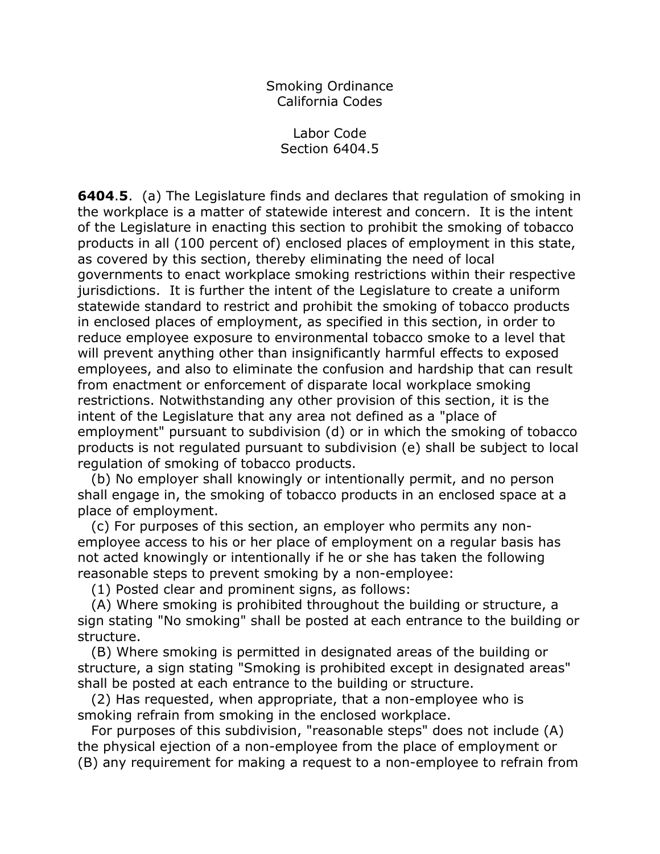Smoking Ordinance California Codes

> Labor Code Section 6404.5

**6404**.**5**. (a) The Legislature finds and declares that regulation of smoking in the workplace is a matter of statewide interest and concern. It is the intent of the Legislature in enacting this section to prohibit the smoking of tobacco products in all (100 percent of) enclosed places of employment in this state, as covered by this section, thereby eliminating the need of local governments to enact workplace smoking restrictions within their respective jurisdictions. It is further the intent of the Legislature to create a uniform statewide standard to restrict and prohibit the smoking of tobacco products in enclosed places of employment, as specified in this section, in order to reduce employee exposure to environmental tobacco smoke to a level that will prevent anything other than insignificantly harmful effects to exposed employees, and also to eliminate the confusion and hardship that can result from enactment or enforcement of disparate local workplace smoking restrictions. Notwithstanding any other provision of this section, it is the intent of the Legislature that any area not defined as a "place of employment" pursuant to subdivision (d) or in which the smoking of tobacco products is not regulated pursuant to subdivision (e) shall be subject to local regulation of smoking of tobacco products.

(b) No employer shall knowingly or intentionally permit, and no person shall engage in, the smoking of tobacco products in an enclosed space at a place of employment.

(c) For purposes of this section, an employer who permits any nonemployee access to his or her place of employment on a regular basis has not acted knowingly or intentionally if he or she has taken the following reasonable steps to prevent smoking by a non-employee:

(1) Posted clear and prominent signs, as follows:

(A) Where smoking is prohibited throughout the building or structure, a sign stating "No smoking" shall be posted at each entrance to the building or structure.

(B) Where smoking is permitted in designated areas of the building or structure, a sign stating "Smoking is prohibited except in designated areas" shall be posted at each entrance to the building or structure.

(2) Has requested, when appropriate, that a non-employee who is smoking refrain from smoking in the enclosed workplace.

 For purposes of this subdivision, "reasonable steps" does not include (A) the physical ejection of a non-employee from the place of employment or (B) any requirement for making a request to a non-employee to refrain from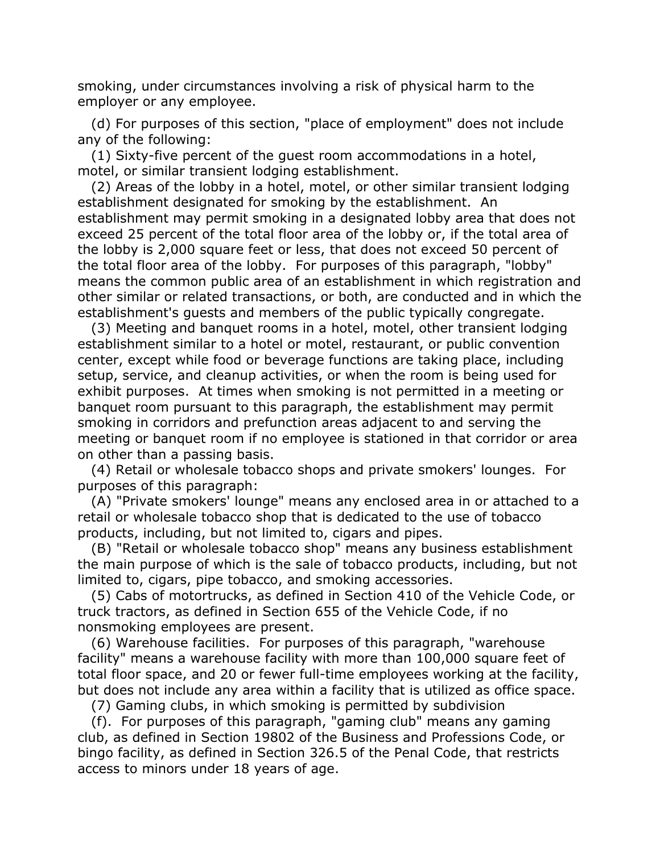smoking, under circumstances involving a risk of physical harm to the employer or any employee.

(d) For purposes of this section, "place of employment" does not include any of the following:

(1) Sixty-five percent of the guest room accommodations in a hotel, motel, or similar transient lodging establishment.

(2) Areas of the lobby in a hotel, motel, or other similar transient lodging establishment designated for smoking by the establishment. An establishment may permit smoking in a designated lobby area that does not exceed 25 percent of the total floor area of the lobby or, if the total area of the lobby is 2,000 square feet or less, that does not exceed 50 percent of the total floor area of the lobby. For purposes of this paragraph, "lobby" means the common public area of an establishment in which registration and other similar or related transactions, or both, are conducted and in which the establishment's guests and members of the public typically congregate.

(3) Meeting and banquet rooms in a hotel, motel, other transient lodging establishment similar to a hotel or motel, restaurant, or public convention center, except while food or beverage functions are taking place, including setup, service, and cleanup activities, or when the room is being used for exhibit purposes. At times when smoking is not permitted in a meeting or banquet room pursuant to this paragraph, the establishment may permit smoking in corridors and prefunction areas adjacent to and serving the meeting or banquet room if no employee is stationed in that corridor or area on other than a passing basis.

(4) Retail or wholesale tobacco shops and private smokers' lounges. For purposes of this paragraph:

(A) "Private smokers' lounge" means any enclosed area in or attached to a retail or wholesale tobacco shop that is dedicated to the use of tobacco products, including, but not limited to, cigars and pipes.

(B) "Retail or wholesale tobacco shop" means any business establishment the main purpose of which is the sale of tobacco products, including, but not limited to, cigars, pipe tobacco, and smoking accessories.

(5) Cabs of motortrucks, as defined in Section 410 of the Vehicle Code, or truck tractors, as defined in Section 655 of the Vehicle Code, if no nonsmoking employees are present.

(6) Warehouse facilities. For purposes of this paragraph, "warehouse facility" means a warehouse facility with more than 100,000 square feet of total floor space, and 20 or fewer full-time employees working at the facility, but does not include any area within a facility that is utilized as office space.

(7) Gaming clubs, in which smoking is permitted by subdivision

(f). For purposes of this paragraph, "gaming club" means any gaming club, as defined in Section 19802 of the Business and Professions Code, or bingo facility, as defined in Section 326.5 of the Penal Code, that restricts access to minors under 18 years of age.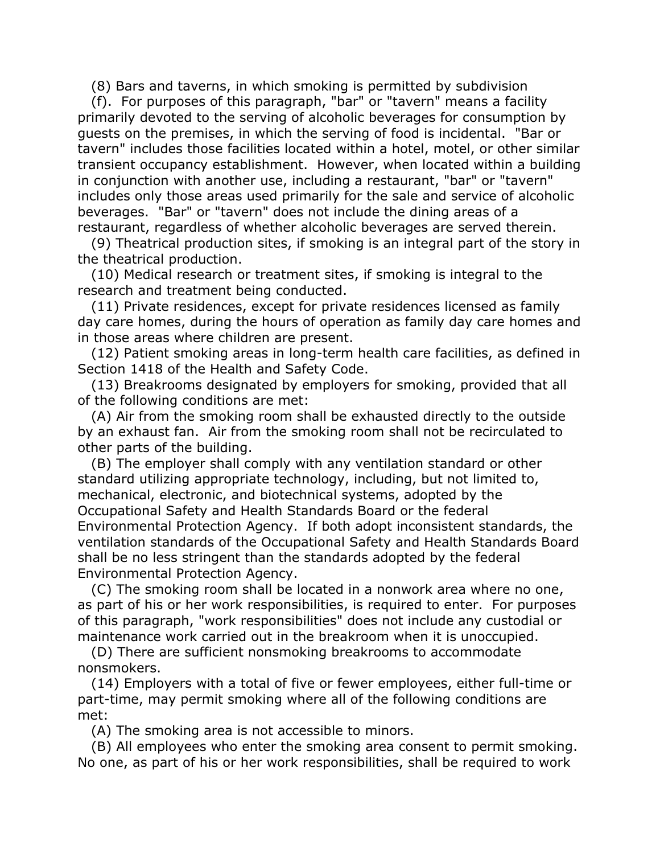(8) Bars and taverns, in which smoking is permitted by subdivision

(f). For purposes of this paragraph, "bar" or "tavern" means a facility primarily devoted to the serving of alcoholic beverages for consumption by guests on the premises, in which the serving of food is incidental. "Bar or tavern" includes those facilities located within a hotel, motel, or other similar transient occupancy establishment. However, when located within a building in conjunction with another use, including a restaurant, "bar" or "tavern" includes only those areas used primarily for the sale and service of alcoholic beverages. "Bar" or "tavern" does not include the dining areas of a restaurant, regardless of whether alcoholic beverages are served therein.

(9) Theatrical production sites, if smoking is an integral part of the story in the theatrical production.

(10) Medical research or treatment sites, if smoking is integral to the research and treatment being conducted.

(11) Private residences, except for private residences licensed as family day care homes, during the hours of operation as family day care homes and in those areas where children are present.

(12) Patient smoking areas in long-term health care facilities, as defined in Section 1418 of the Health and Safety Code.

(13) Breakrooms designated by employers for smoking, provided that all of the following conditions are met:

(A) Air from the smoking room shall be exhausted directly to the outside by an exhaust fan. Air from the smoking room shall not be recirculated to other parts of the building.

(B) The employer shall comply with any ventilation standard or other standard utilizing appropriate technology, including, but not limited to, mechanical, electronic, and biotechnical systems, adopted by the Occupational Safety and Health Standards Board or the federal Environmental Protection Agency. If both adopt inconsistent standards, the ventilation standards of the Occupational Safety and Health Standards Board shall be no less stringent than the standards adopted by the federal Environmental Protection Agency.

(C) The smoking room shall be located in a nonwork area where no one, as part of his or her work responsibilities, is required to enter. For purposes of this paragraph, "work responsibilities" does not include any custodial or maintenance work carried out in the breakroom when it is unoccupied.

(D) There are sufficient nonsmoking breakrooms to accommodate nonsmokers.

(14) Employers with a total of five or fewer employees, either full-time or part-time, may permit smoking where all of the following conditions are met:

(A) The smoking area is not accessible to minors.

(B) All employees who enter the smoking area consent to permit smoking. No one, as part of his or her work responsibilities, shall be required to work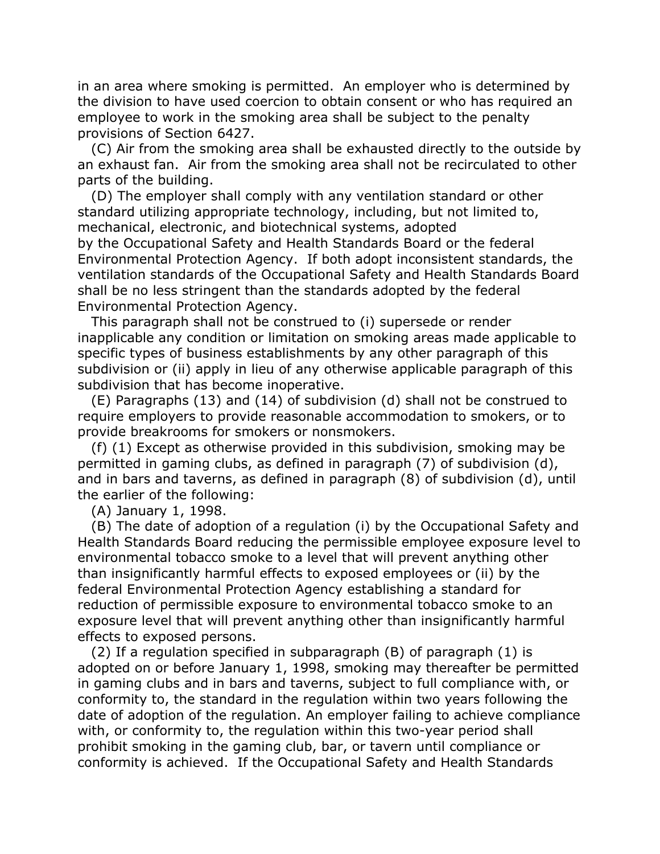in an area where smoking is permitted. An employer who is determined by the division to have used coercion to obtain consent or who has required an employee to work in the smoking area shall be subject to the penalty provisions of Section 6427.

(C) Air from the smoking area shall be exhausted directly to the outside by an exhaust fan. Air from the smoking area shall not be recirculated to other parts of the building.

(D) The employer shall comply with any ventilation standard or other standard utilizing appropriate technology, including, but not limited to, mechanical, electronic, and biotechnical systems, adopted by the Occupational Safety and Health Standards Board or the federal Environmental Protection Agency. If both adopt inconsistent standards, the ventilation standards of the Occupational Safety and Health Standards Board shall be no less stringent than the standards adopted by the federal Environmental Protection Agency.

 This paragraph shall not be construed to (i) supersede or render inapplicable any condition or limitation on smoking areas made applicable to specific types of business establishments by any other paragraph of this subdivision or (ii) apply in lieu of any otherwise applicable paragraph of this subdivision that has become inoperative.

(E) Paragraphs (13) and (14) of subdivision (d) shall not be construed to require employers to provide reasonable accommodation to smokers, or to provide breakrooms for smokers or nonsmokers.

(f) (1) Except as otherwise provided in this subdivision, smoking may be permitted in gaming clubs, as defined in paragraph (7) of subdivision (d), and in bars and taverns, as defined in paragraph (8) of subdivision (d), until the earlier of the following:

(A) January 1, 1998.

(B) The date of adoption of a regulation (i) by the Occupational Safety and Health Standards Board reducing the permissible employee exposure level to environmental tobacco smoke to a level that will prevent anything other than insignificantly harmful effects to exposed employees or (ii) by the federal Environmental Protection Agency establishing a standard for reduction of permissible exposure to environmental tobacco smoke to an exposure level that will prevent anything other than insignificantly harmful effects to exposed persons.

(2) If a regulation specified in subparagraph (B) of paragraph (1) is adopted on or before January 1, 1998, smoking may thereafter be permitted in gaming clubs and in bars and taverns, subject to full compliance with, or conformity to, the standard in the regulation within two years following the date of adoption of the regulation. An employer failing to achieve compliance with, or conformity to, the regulation within this two-year period shall prohibit smoking in the gaming club, bar, or tavern until compliance or conformity is achieved. If the Occupational Safety and Health Standards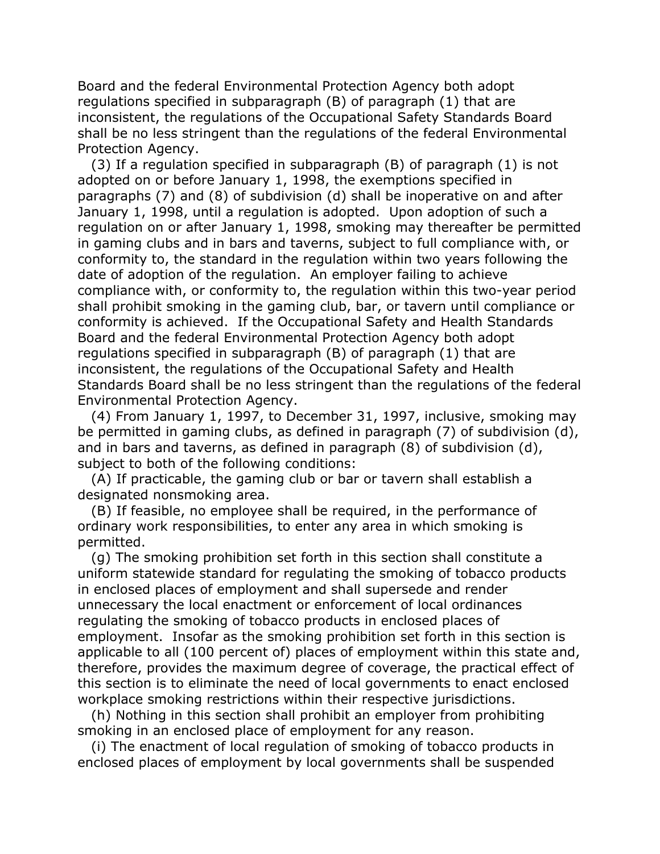Board and the federal Environmental Protection Agency both adopt regulations specified in subparagraph (B) of paragraph (1) that are inconsistent, the regulations of the Occupational Safety Standards Board shall be no less stringent than the regulations of the federal Environmental Protection Agency.

(3) If a regulation specified in subparagraph (B) of paragraph (1) is not adopted on or before January 1, 1998, the exemptions specified in paragraphs (7) and (8) of subdivision (d) shall be inoperative on and after January 1, 1998, until a regulation is adopted. Upon adoption of such a regulation on or after January 1, 1998, smoking may thereafter be permitted in gaming clubs and in bars and taverns, subject to full compliance with, or conformity to, the standard in the regulation within two years following the date of adoption of the regulation. An employer failing to achieve compliance with, or conformity to, the regulation within this two-year period shall prohibit smoking in the gaming club, bar, or tavern until compliance or conformity is achieved. If the Occupational Safety and Health Standards Board and the federal Environmental Protection Agency both adopt regulations specified in subparagraph (B) of paragraph (1) that are inconsistent, the regulations of the Occupational Safety and Health Standards Board shall be no less stringent than the regulations of the federal Environmental Protection Agency.

(4) From January 1, 1997, to December 31, 1997, inclusive, smoking may be permitted in gaming clubs, as defined in paragraph (7) of subdivision (d), and in bars and taverns, as defined in paragraph (8) of subdivision (d), subject to both of the following conditions:

(A) If practicable, the gaming club or bar or tavern shall establish a designated nonsmoking area.

(B) If feasible, no employee shall be required, in the performance of ordinary work responsibilities, to enter any area in which smoking is permitted.

(g) The smoking prohibition set forth in this section shall constitute a uniform statewide standard for regulating the smoking of tobacco products in enclosed places of employment and shall supersede and render unnecessary the local enactment or enforcement of local ordinances regulating the smoking of tobacco products in enclosed places of employment. Insofar as the smoking prohibition set forth in this section is applicable to all (100 percent of) places of employment within this state and, therefore, provides the maximum degree of coverage, the practical effect of this section is to eliminate the need of local governments to enact enclosed workplace smoking restrictions within their respective jurisdictions.

(h) Nothing in this section shall prohibit an employer from prohibiting smoking in an enclosed place of employment for any reason.

(i) The enactment of local regulation of smoking of tobacco products in enclosed places of employment by local governments shall be suspended